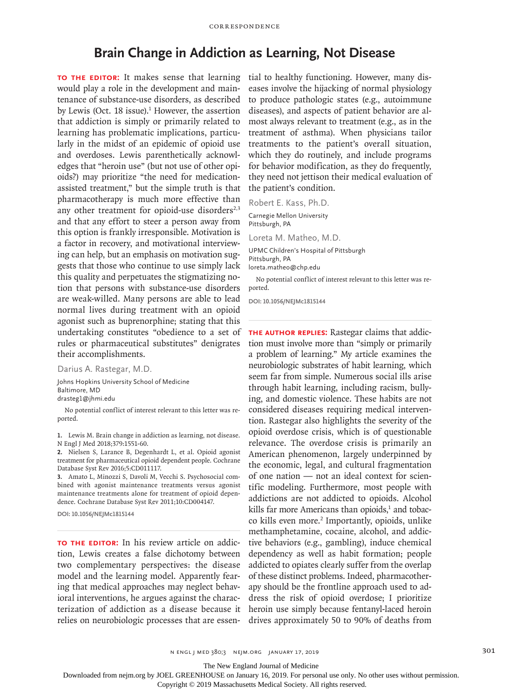## **Brain Change in Addiction as Learning, Not Disease**

**TO THE EDITOR:** It makes sense that learning would play a role in the development and maintenance of substance-use disorders, as described by Lewis (Oct.  $18$  issue).<sup>1</sup> However, the assertion that addiction is simply or primarily related to learning has problematic implications, particularly in the midst of an epidemic of opioid use and overdoses. Lewis parenthetically acknowledges that "heroin use" (but not use of other opioids?) may prioritize "the need for medicationassisted treatment," but the simple truth is that pharmacotherapy is much more effective than any other treatment for opioid-use disorders $2,3$ and that any effort to steer a person away from this option is frankly irresponsible. Motivation is a factor in recovery, and motivational interviewing can help, but an emphasis on motivation suggests that those who continue to use simply lack this quality and perpetuates the stigmatizing notion that persons with substance-use disorders are weak-willed. Many persons are able to lead normal lives during treatment with an opioid agonist such as buprenorphine; stating that this undertaking constitutes "obedience to a set of rules or pharmaceutical substitutes" denigrates their accomplishments.

Darius A. Rastegar, M.D.

Johns Hopkins University School of Medicine Baltimore, MD drasteg1@jhmi.edu

No potential conflict of interest relevant to this letter was reported.

**1.** Lewis M. Brain change in addiction as learning, not disease. N Engl J Med 2018;379:1551-60.

**2.** Nielsen S, Larance B, Degenhardt L, et al. Opioid agonist treatment for pharmaceutical opioid dependent people. Cochrane Database Syst Rev 2016;5:CD011117.

**3.** Amato L, Minozzi S, Davoli M, Vecchi S. Psychosocial combined with agonist maintenance treatments versus agonist maintenance treatments alone for treatment of opioid dependence. Cochrane Database Syst Rev 2011;10:CD004147.

**DOI: 10.1056/NEJMc1815144**

**TO THE EDITOR:** In his review article on addiction, Lewis creates a false dichotomy between two complementary perspectives: the disease model and the learning model. Apparently fearing that medical approaches may neglect behavioral interventions, he argues against the characterization of addiction as a disease because it relies on neurobiologic processes that are essen-

tial to healthy functioning. However, many diseases involve the hijacking of normal physiology to produce pathologic states (e.g., autoimmune diseases), and aspects of patient behavior are almost always relevant to treatment (e.g., as in the treatment of asthma). When physicians tailor treatments to the patient's overall situation, which they do routinely, and include programs for behavior modification, as they do frequently, they need not jettison their medical evaluation of the patient's condition.

Robert E. Kass, Ph.D.

Carnegie Mellon University Pittsburgh, PA

Loreta M. Matheo, M.D.

UPMC Children's Hospital of Pittsburgh Pittsburgh, PA loreta.matheo@chp.edu

No potential conflict of interest relevant to this letter was reported.

**DOI: 10.1056/NEJMc1815144**

**The author replies:** Rastegar claims that addiction must involve more than "simply or primarily a problem of learning." My article examines the neurobiologic substrates of habit learning, which seem far from simple. Numerous social ills arise through habit learning, including racism, bullying, and domestic violence. These habits are not considered diseases requiring medical intervention. Rastegar also highlights the severity of the opioid overdose crisis, which is of questionable relevance. The overdose crisis is primarily an American phenomenon, largely underpinned by the economic, legal, and cultural fragmentation of one nation — not an ideal context for scientific modeling. Furthermore, most people with addictions are not addicted to opioids. Alcohol kills far more Americans than opioids,<sup>1</sup> and tobacco kills even more.<sup>2</sup> Importantly, opioids, unlike methamphetamine, cocaine, alcohol, and addictive behaviors (e.g., gambling), induce chemical dependency as well as habit formation; people addicted to opiates clearly suffer from the overlap of these distinct problems. Indeed, pharmacotherapy should be the frontline approach used to address the risk of opioid overdose; I prioritize heroin use simply because fentanyl-laced heroin drives approximately 50 to 90% of deaths from

The New England Journal of Medicine

Downloaded from nejm.org by JOEL GREENHOUSE on January 16, 2019. For personal use only. No other uses without permission.

Copyright © 2019 Massachusetts Medical Society. All rights reserved.